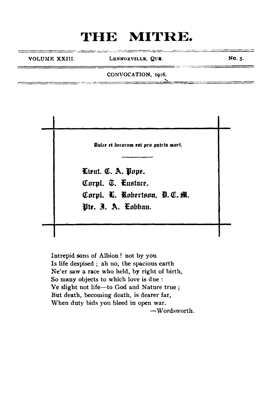#### VOLUME XXIII. LENNOXVILLE, QUE. NO. 5.

### CONVOCATION, 1916.



Intrepid sons of Albion ! not by you Is life despised ; ah no, the spacious earth Ne'er saw a race who held, by right of birth, So many objects to which love is due : Ye slight not life—to God and Nature true; But death, becoming death, is dearer far, When duty bids you bleed in open war. — Wordsworth.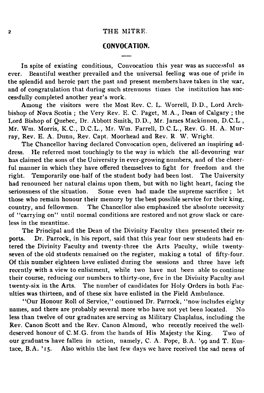#### **CONVOCATION.**

In spite of existing conditions, Convocation this year was as successful as ever. Beautiful weather prevailed and the universal feeling was one of pride in the splendid and heroic part the past and present members have taken in the war, and of congratulation that during such strenuous times the institution has suc cessfully completed another year's work.

Among the visitors were the Most Rev. C. L. Worrell, D.D., Lord Arch bishop of Nova Scotia ; the Very Rev. E. C. Paget, M.A., Dean of Calgary ; the Lord Bishop of Quebec, Dr. Abbott Smith, D.D., Mr. James Mackinnon, D.C.L , Mr. Wm. Morris, K.C., D.C.L., Mr. Wm. Farrell, D.C.L., Rev. G. H. A. Mur ray, Rev. E. A. Dunn, Rev. Capt. Moorhead and Rev. R. W. Wright.

The Chancellor having declared Convocation open, delivered an inspiring address. He referred most touchingly to the way in which the all-devouring war has claimed the sons of the University in ever-growing numbers, and of the cheerful manner in which they have offered themselves to fight for freedom and the right. Temporarily one-half of the student body had been lost. The University had renounced her natural claims upon them, but with no light heart, facing the seriousness of the situation. Some even had made the supreme sacrifice ; let those who remain honour their memory by the best possible service for their king, country, and fellowmen. The Chancellor also emphasized the absolute necessity of "carrying on" until normal conditions are restored and not grow slack or careless in the meantime.

The Principal and the Dean of the Divinity Faculty then presented their reports. Dr. Parrock, in his report, said that this year four new students had entered the Divinity Faculty and twenty-three the Arts Faculty, while twentyseven of the old students remained on the register, making a total of fifty-four. Of this number eighteen have enlisted during the sessions and three have left recently with a view to enlistment, while two have not been able to continue their course, reducing our numbers to thirty-one, five in the Divinity Faculty and twenty-six in the Arts. The number of candidates for Holy Orders in both Faculties was thirteen, and of these six have enlisted in the Field Ambulance.

"Our Honour Roll of Service," continued Dr. Parrock, "now includes eighty names, and there are probably several more who have not yet been located. No less than twelve of our graduates are serving as Military Chaplains, including the Rev. Canon Scott and the Rev. Canon Almond, who recently received the welldeserved honour of C.M.G, from the hands of His Majesty the King. Two of our graduates have fallen in action, namely, C. A. Pope, B.A. '99 and T. Eustace, B.A. ' 15. Also within the last few days we have received the sad news of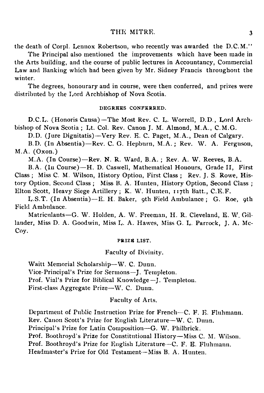the death of Corpl. Lennox Robertson, who recently was awarded the D.C.M ."

The Principal also mentioned the improvements which have been made in the Arts building, and the course of public lectures in Accountancy, Commercial Law and Banking which had been given by Mr. Sidney Francis throughout the winter.

The degrees, honourary and in course, were then conferred, and prizes were distributed by the Lord Archbishop of Nova Scotia.

#### DEGREES CONFERRED.

D.C.L. (Honoris Causa)— The Most Rev. C. L. Worrell, D.D., Lord Arch bishop of Nova Scotia ; Lt. Col. Rev. Canon J. M. Almond, M.A., C.M.G.

D.D. (Jure Dignitatis)— Very Rev. E. C. Paget, M.A., Dean of Calgary.

B.D. (In Absentia)— Rev. C. G. Hepburn, M.A. ; Rev. W. A. Ferguson, M.A. (Oxon.)

M.A. (In Course)— Rev. N. R. Ward, B.A. ; Rev. A. W. Reeves, B.A.

B.A. (In Course)— H. D. Caswell, Mathematical Honours, Grade II, First Class ; Miss C. M. Wilson, History Option, First Class ; Rev. J. S. Rowe, His tory Option, Second Class ; Miss B. A. Hunten, History Option, Second Class ; Elton Scott, Heavy Siege Artillery ; K. W. Hunten, 117th Batt., C.E.F.

L.S.T. (In Absentia)— E. H. Baker, 9th Field Ambulance ; G. Roe, 9th Field Ambulance.

Matriculants-G. W. Holden, A. W. Freeman, H. R. Cleveland, E. W. Gillander, Miss D. A. Goodwin, Miss L. A. Hawes, Miss G. L. Parrock, J. A. Mc-Coy.

#### PRIZE LIST.

#### Faculty of Divinity.

Waitt Memorial Scholarship— W. C. Dunn. Vice-Principal's Prize for Sermons— J. Templeton. Prof. Vial's Prize for Biblical Knowledge—J. Templeton. First-class Aggregate Prize— W. C. Dunn.

#### Faculty of Arts.

Department of Public Instruction Prize for French— C. F. E. Fluhmann. Rev. Canon Scott's Prize for English Literature— W. C. Dunn. Principal's Prize for Latin Composition— G. W. Philbrick. Prof. Boothroyd's Prize for Constitutional History— Miss C. M. Wilson. Prof. Boothroyd's Prize for English Literature— C. F. E. Fluhmann. Headmaster's Prize for Old Testament— Miss B. A. Hunten.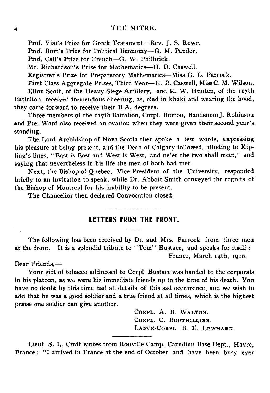Prof. Viai's Prize for Greek Testament— Rev. J. S. Rowe.

Prof. Burt's Prize for Political Economy— G. M. Pender.

Prof. Call's Prize for French— G. W. Philbrick.

Mr. Richardson's Prize for Mathematics— H. D. Caswell.

Registrar's Prize for Preparatory Mathematics— Miss G. L. Parrock.

First Class Aggregate Prizes, Third Year— H. D. Caswell, MissC. M. Wilson. Elton Scott, of the Heavy Siege Artillery, and K. W. Hunten, of the 117th Battalion, received tremendous cheering, as, clad in khaki and wearing the hood, they came forward to receive their B.A. degrees.

Three members of the 117th Battalion, Corpl. Burton, Bandsman J. Robinson and Pte. Ward also received an ovation when they were given their second year's standing.

The Lord Archbishop of Nova Scotia then spoke a few words, expressing his pleasure at being present, and the Dean of Calgary followed, alluding to Kipling's lines, "East is East and West is West, and ne'er the two shall meet," and saying that nevertheless in his life the men of both had met.

Next, the Bishop of Quebec, Vice-President of the University, responded briefly to an invitation to speak, while Dr. Abbott-Smith conveyed the regrets of the Bishop of Montreal for his inability to be present.

The Chancellor then declared Convocation closed.

#### **LETTERS FROM THE FRONT.**

The following has been received by Dr. and Mrs. Parrock from three men at the front. It is a splendid tribute to "Tom" Eustace, and speaks for itself : France, March 14th, 1916.

Dear Friends,—

Your gift of tobacco addressed to Corpl. Eustace was handed to the corporals in his platoon, as we were his immediate friends up to the time of his death. You have no doubt by this time had all details of this sad occurrence, and we wish to add that he was a good soldier and a true friend at all times, which is the highest praise one soldier can give another.

> CORPL. A. B. WALTON. CORPL. C. BOUTHILLIER. LANCE-CORPL. B. E. LEWMARK.

Lieut. S. L. Craft writes from Rouville Camp, Canadian Base Dept., Havre, France : "I arrived in France at the end of October and have been busy ever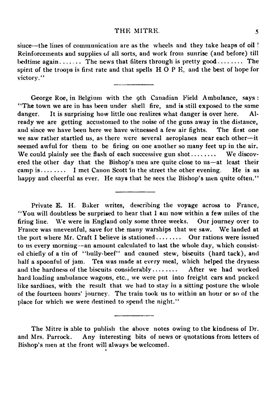since— the lines of communication are as the wheels and they take heaps of oil ! Reinforcements and supplies of all sorts, and work from sunrise (and before) till bedtime again............ The news that filters through is pretty good.............. The spirit of the troops is first rate and that spells  $H O P E$ , and the best of hope for victory."

George Roe, in Belgium with the 9th Canadian Field Ambulance, says : ' 'The town we are in has been under shell fire, and is still exposed to the same danger. It is surprising how little one realizes what danger is over here. Already we are getting accustomed to the noise of the guns away in the distance, and since we have been here we have witnessed a few air fights. The first one we saw rather startled us, as there were several aeroplanes near each other-it seemed awful for them to be firing on one another so many feet up in the air. We could plainly see the flash of each successive gun shot.............. We discovered the other day that the Bishop's men are quite close to us— at least their camp is .............. I met Canon Scott in the street the other evening. He is as happy and cheerful as ever. He says that he sees the Bishop's men quite often."

Private E. H. Baker writes, describing the voyage across to France, ' 'You will doubtless be surprised to hear that I am now within a few miles of the firing line. We were in England only some three weeks. Our journey over to France was uneventful, save for the many warships that we saw. We landed at the port where Mr. Craft I believe is stationed.............. Our rations were issued to us every morning -- an amount calculated to last the whole day, which consisted chiefly of a tin of "bully-beef" and canned stew, biscuits (hard tack), and half a spoonful of jam. Tea was made at every meal, which helped the dryness and the hardness of the biscuits considerably.............. After we had worked hard loading ambulance wagons, etc., we were put into freight cars and packed like sardines, with the result that we had to stay in a sitting posture the whole of the fourteen hours' journey. The train took us to within an hour or so of the place for which we were destined to spend the night."

The Mitre is able to publish the above notes owing to the kindness of Dr. and Mrs. Parrock. Any interesting bits of news or quotations from letters of Bishop's men at the front will always be welcomed.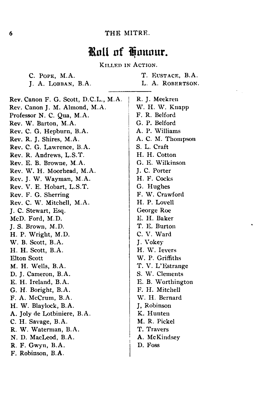### **Roll of Honour.**

KILLED IN ACTION.

| C. POPE, M.A.                        | T. EUSTACE, B.A.  |
|--------------------------------------|-------------------|
| J. A. LOBBAN, B.A.                   | L. A. ROBERTSON   |
| Rev. Canon F. G. Scott, D.C.L., M.A. | R. J. Meekren     |
| Rev. Canon J. M. Almond, M.A.        | W. H. W. Knapp    |
| Professor N. C. Qua, M.A.            | F. R. Belford     |
| Rev. W. Barton, M.A.                 | G. P. Belford     |
| Rev. C. G. Hepburn, B.A.             | A. P. Williams    |
| Rev. R. J. Shires, M.A.              | A. C. M. Thompson |
| Rev. C. G. Lawrence, B.A.            | S. L. Craft       |
| Rev. R. Andrews, L.S.T.              | H. H. Cotton      |
| Rev. E. B. Browne, M.A.              | G. E. Wilkinson   |
| Rev. W. H. Moorhead, M.A.            | J. C. Porter      |
| Rev. J. W. Wayman, M.A.              | H. F. Cocks       |
| Rev. V. E. Hobart, L.S.T.            | G. Hughes         |
| Rev. F. G. Sherring                  | F. W. Crawford    |
| Rev. C. W. Mitchell, M.A.            | H. P. Lovell      |
| J. C. Stewart, Esq.                  | George Roe        |
| McD. Ford, M.D.                      | E. H. Baker       |
| J. S. Brown, M.D.                    | T. E. Burton      |
| H. P. Wright, M.D.                   | C. V. Ward        |
| W. B. Scott, B.A.                    | J. Vokey          |
| H. H. Scott, B.A.                    | H. W. Ievers      |
| <b>Elton Scott</b>                   | W. P. Griffiths   |
| M. H. Wells, B.A.                    | T. V. L'Estrange  |
| D. J. Cameron, B.A.                  | S. W. Clements    |
| E. H. Ireland, B.A.                  | E. B. Worthington |
| G. H. Boright, B.A.                  | F. H. Mitchell    |
| F. A. McCrum, B.A.                   | W. H. Bernard     |
| H. W. Blaylock, B.A.                 | J. Robinson       |
| A. Joly de Lotbiniere, B.A.          | K. Hunten         |
| C. H. Savage, B.A.                   | M. R. Pickel      |
| R. W. Waterman, B.A.                 | T. Travers        |
| N. D. MacLeod, B.A.                  | A. McKindsey      |
| R. F. Gwyn, B.A.                     | D. Foss           |
| F. Robinson, B.A.                    |                   |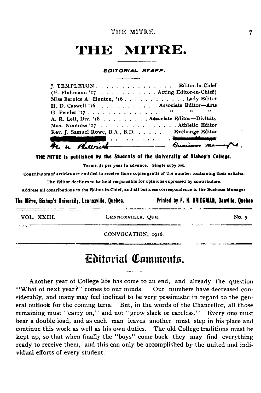## THE MITRE.

#### *E D IT O R IA L S T A F F .*

| allrich Business Maura                          |                |
|-------------------------------------------------|----------------|
| . <del>Deminastration</del> age                 |                |
| Rev. J. Samuel Rowe, B.A., B.D. Exchange Editor |                |
| Max. Norcross '17 Athletic Editor               |                |
| A. R. Lett, Div. '18 Associate Editor-Divinity  |                |
| G. Pender '17. "                                | $\blacksquare$ |
| H. D. Caswell '16 Associate Editor-Arts         | $\sim$         |
| Miss Bernice A. Hunten, '16. Lady Editor        |                |
|                                                 |                |
| (F. Fluhmann '17 Acting Editor-in-Chief)        |                |
| J. TEMPLETON Bditor-in-Chief                    |                |

THE mitre is published by the Students of the University of Bishop's College.

Terma, \$1 per year in advance. Single copy 20c.

Contributors of articles are entitled to receive three copies gratis of the number containing their articles

The Editor declines to be held responsible for opinions expressed by contributors.

Address all contributions to the Editor-in-Chief, and all business correspondence to the Business Manager.

**The Mitre, Bishop's University, Lennoxville, Quebec. Printed by F. H. BRIDGMAN, Danville, Quebec** <u>standardina a primer (matic contrary contrary contrary and although and although the state of</u>

VOL. XXIII. <sup>L</sup> e n n o x v i l l e , Q u e . No. 5

and the state of the state of the state of the state of the state of the state of the state of the state of the

\_\_\_\_\_\_\_\_\_\_\_

CONVOCATION, 1916.

### **Editorial Comments**

Another year of College life has come to an end, and already the question "What of next year?" comes to our minds. Our numbers have decreased considerably, and many may feel inclined to be very pessimistic in regard to the general outlook for the coming term. But, in the words of the Chancellor, all those remaining must "carry on," and not "grow slack or careless." Every one must bear a double load, and as each man leaves another must step in his place and continue this work as well as his own duties. The old College traditions must be kept up, so that when finally the " boys" come back they may find everything ready to receive them, and this can only be accomplished by the united and individual efforts of every student.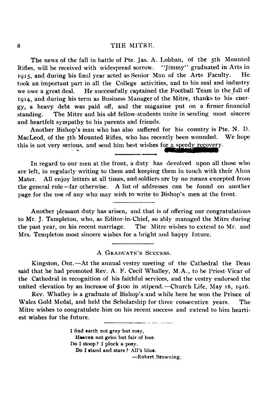The news of the fall in battle of Pte. Jas. A. Lobban, of the 5th Mounted Rifles, will be received with widespread sorrow. " Jimmy" graduated in Arts in 1915, and during his final year acted as Senior Man of the Arts Faculty. He took an important part in all the College activities, and to his zeal and industry we owe a great deal. He successfully captained the Football Team in the fall of 1914, and during his term as Business Manager of the Mitre, thanks to his energy, a heavy debt was paid off, and the magazine put on a firmer financial standing. The Mitre and his old fellow-students unite in sending most sincere and heartfelt sympathy to his parents and friends.

Another Bishop's man who has also suffered for his country is Pte. N. D. MacLeod, of the 5th Mounted Rifles, who has recently been wounded. We hope this is not very serious, and send him best wishes for a speedy recovery.

In regard to our men at the front, a duty has devolved upon all those who are left, in regularly writing to them and keeping them in touch with their Alma Mater. All enjoy letters at all times, and soldiers are by no means excepted from the general rule—far otherwise. A list of addresses can be found on another page for the use of any who may wish to write to Bishop's men at the front.

Another pleasant duty has arisen, and that is of offering our congratulations to Mr. J. Templeton, who, as Editor-in-Chief, so ably managed the Mitre during the past year, on his recent marriage. The Mitre wishes to extend to Mr. and Mrs. Templeton most sincere wishes for a bright and happy future.

#### A GRADUATE'S SUCCESS.

Kingston, Ont.— At the annual vestry meeting of the Cathedral the Dean said that he had promoted Rev. A. F. Cecil Whalley, M.A., to be Priest-Vicar of the Cathedral in recognition of his faithful services, and the vestry endorsed the united elevation by an increase of \$100 in stipend.— Church Life, May 18, 1916.

Rev. Whalley is a graduate of Bishop's and while here he won the Prince of Wales Gold Medal, and held the Scholarship for three consecutive years. The Mitre wishes to congratulate him on his recent success and extend to him heartiest wishes for the future.

> I find earth not gray but rosy, Heaven not grim but fair of hue. Do I stoop ? I pluck a posy. Do I stand and stare ? All's blue. — Robert Browning.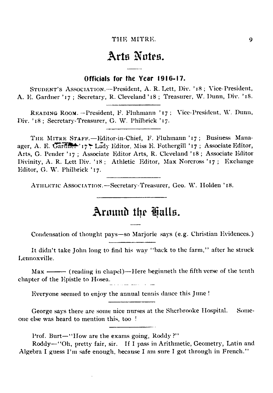### **Arts Notes**

#### **Officials for the Year 1916-17.**

STUDENT'S ASSOCIATION.-President, A. R. Lett, Div. '18; Vice-President, A. E. Gardner '17 ; Secretary, R. Cleveland '18 ; Treasurer, W. Dunn, Div. '18.

READING ROOM. -- President, F. Fluhmann '17; Vice-President, W. Dunn, Div. ' 18; Secretary-Treasurer, G. W. Philbrick ' 17.

THE MITRE STAFF.-Editor-in-Chief, F. Fluhmann '17; Business Manaager, A. E. Garding  $r_1 r \geq L$ ady Editor, Miss E. Fothergill '17; Associate Editor, Arts, G. Pender ' 17 ; Associate Editor Arts, R. Cleveland ' 18 ; Associate Editor Divinity, A. R. Lett Div. ' 18 ; Athletic Editor, Max Norcross ' 17 ; Exchange Editor, G. W. Philbrick ' 17.

ATHLETIC ASSOCIATION.-Secretary-Treasurer, Geo. W. Holden '18.

### **Around the Galls.**

Condensation of thought pays— so Marjorie says (e.g. Christian Evidences.)

It didn't take John long to find his way "back to the farm," after he struck Lennoxville.

Max ------- (reading in chapel)-Here beginneth the fifth verse of the tenth chapter of the Epistle to Hosea.

Everyone seemed to enjoy the annual tennis dance this June !

George says there are some nice nurses at the Sherbrooke Hospital. Someone else was heard to mention this, too !

Prof. Burt— " How are the exams going, Roddy ?' '

Roddy— " Oh, pretty fair, sir. If I pass in Arithmetic, Geometry, Latin and Algebra I guess I'm safe enough, because I am sure I got through in French.' '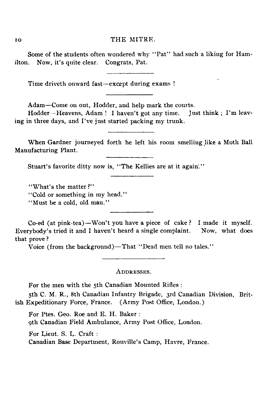Some of the students often wondered why "Pat" had such a liking for Hamilton. Now, it's quite clear. Congrats, Pat.

Time driveth onward fast— except during exams !

Adam— Come on out, Hodder, and help mark the courts.

Hodder--Heavens, Adam ! I haven't got any time. Just think; I'm leaving in three days, and I've just started packing my trunk.

When Gardner journeyed forth he left his room smelling like a Moth Ball Manufacturing Plant.

Stuart's favorite ditty now is, "The Kellies are at it again."

"What's the matter?" " Cold or something in my head." "Must be a cold, old man."

Co-ed (at pink-tea)— Won't you have a piece of cake ? I made it myself. Everybody's tried it and I haven't heard a single complaint. Now, what does that prove ?

Voice (from the background)— That " Dead men tell no tales."

A DDRESSES.

For the men with the 5th Canadian Mounted Rifles :

5th C. M. R., 8th Canadian Infantry Brigade, 3rd Canadian Division, British Expeditionary Force, France. (Army Post Office, London.)

For Ptes. Geo. Roe and E. H. Baker : 9th Canadian Field Ambulance, Army Post Office, London.

For Lieut. S. L. Craft :

Canadian Base Department, Rouville's Camp, Havre, France.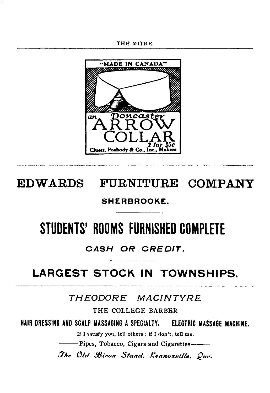

## **EDWARDS FURNITURE COMPANY SHERBROOKE.**

# STUDENTS' BOOMS FURNISHED COMPLETE

#### *CASH OR CREDIT.*

### **LARGEST STOCK IN TOWNSHIPS.**

#### *THEODORE MACINTYRE*

THE COLLEGE BARBER

HAIR DRESSING AND SCALP MASSAGING A SPECIALTY. ELECTRIC MASSAGE MACHINE.

If I satisfy you, tell others ; if I don't, tell me.

-Pipes, Tobacco, Cigars and Cigarettes------

 $The$  Old Biron Stand, Lennorville, Que.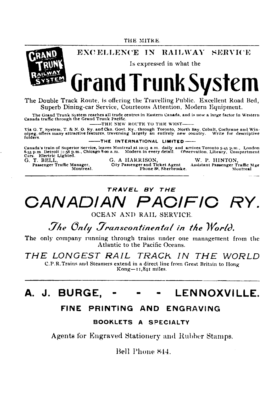

**EX CELLEN CE IN RAILWAY SERVICE**

Is expressed in what the

# **Grand Trunk System**

The Double Track Route, is offering the Travelling Public. Excellent Road Red, Superb Dining-car Service, Courteous Attention, Modern Equipment.

The Grand Trunk System reaches all trade centres in Eastern Canada, and is now a large factor in Western Canada traffic through the Grand Trunk Pacific.

--------T h e N E W R O U T E T O T H E W E S T -------- V ia G. T. System , T. & N. O. Ry. and C a n . Govt. R y.. through Toronto, N orth Bay, Cob alt, C ochrane and W in nip eg, offers m any attra ctiv e features, tra v ersin g la rg e ly an e n tirely new country. W rite for d escrip tive

THE INTERNATIONAL LIMITED-

Canada's train of Superior Service, leaves Montreal at 10-15 a.m. daily and arrives Toronto 5-45 p.m., London<br>Cars. p.m. Detroit : 5-58 p.m., Chicago 8-00 a.m. Modern in every detail. Observation, Library, Compartment<br>Cars

d. (G. A HARRISON, M. P. HINTON, G. A HARRISON, Manager, City Passenger and Ticket Agent Assistant Passenger Traffic Mgr Montreal.

#### *TR A V EL BY T H E*

# *CANADIAN PACIFIC RY.*

OCEAN AND RAIL SERVICE

*The Only Transcontinental in the World.* 

The only company running through trains under one management from the Atlantic to the Pacific Oceans.

*THE LONGEST RAIL TRACK IN THE WORLD*

C.P.R. Trains and Steamers extend in a direct line from Great Britain to Hong Kong— 11,841 miles.

## **A. J. BURGE, - - - LENNOXVILLE.**

#### **FINE PRINTING AND ENGRAVING**

#### **B O O K LETS A S P E C IA L T Y**

**Agents for Engraved Stationery and Rubber Stamps.**

**Bell Phone 844.**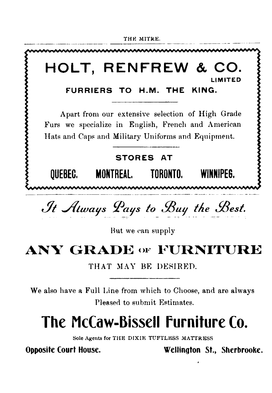**HOLT, RENFREW & CO. LIMITED FURRIERS TO H.M. THE KING. Apart from our extensive selection of High Grade Furs we specialize in English, French and American Hats and Caps and Military Uniforms and Equipment. STORES AT** QUEBEC. MONTREAL. TORONTO. WINNIPE6. *Always Pays to the Best.* **Hut we can supply ANY GRADE OF FURNITURE** 

**THAT MAY BE DESIRED.**

**We also have a Full Line from which to Choose, and are always Pleased to submit Estimates.**

# **The McCaw-Bissell Furniture Co.**

Sole Agents for THE DIXIE TUFTLESS MATTRESS

**Opposite Court House. Wellington St., Sherbrooke.**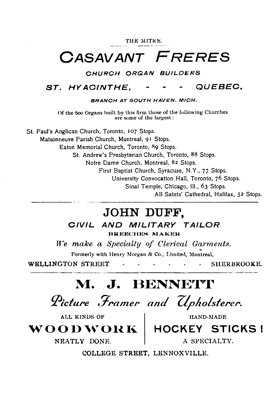# *CASAVANT FRERES*

**CHURCH ORGAN BUILDERS** 

#### *ST. H Y A C IN T H E .* **-** *Q U E B E C* **,**

**BRANCH AT SOUTH HAVEN. MICH.** 

Of the 600 Organs built by this firm those of the following Churches are some of the largest:

St. Paul's Anglican Church, Toronto, 107 Stops. Maisonneuve Parish Church, Montreal, 91 Stops. Eaton Memorial Church, Toronto, 89 Stops. St. Andrew's Presbyterian Church, Toronto, 88 Stops. Notre Dame Church, Montreal, 82 Stops. First Baptist Church, Syracuse, N.Y., 77 Stops. University Convocation Hall, Toronto, *76* Stops. Sinai Temple, Chicago, ill., 63 Stops. All Saints' Cathedral, Halifax, 52 Stops.

### **JOHN DUFF,**

*C IV IL A ND M IL IT A R Y TA ILO R* BREECHES MAKER

*We make a Specialty of Clerical Garments.*

Formerly with Henry Morgan & Co., Limited, Montreal,

WELLINGTON STREET . . . . . . SHERBROOKE.

## **M. J. BENNETT**

Picture Framer and Upholsterer.

ALL KINDS OF  $\mathbf{W}\mathbf{O}\mathbf{O}\mathbf{D}\mathbf{W}\mathbf{O}\mathbf{R}\mathbf{K}$  | HOCKEY STICKS ! NEATLY DONE.

HAND-MADE

A SPECIALTY.

COLLEGE STREET, LENNOXVILLE.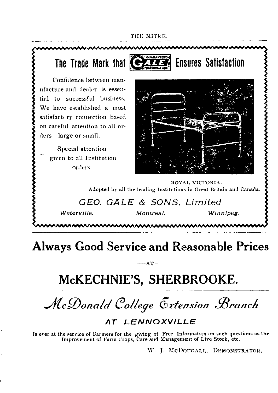

# The Trade Mark that  $\bigodot$  113 Ensures Satisfaction

Confidence between man ufacture and dealer is essen tial to successful business. We have established a most satisfactory connection based on careful attention to all or ders- large or small.

Special attention given to all Institution orders.



ROYAL VICTORIA. Adopted by all the leading Institutions in Great Britain and Canada.

*GEO. GALE & SONS, Limited*

*W aterville. M ontreal. W innipeg.*

### Always Good Service and Reasonable Prices

 $-AT -$ 

# McKECHNIE'S, SHERBROOKE.

*M c D o n a l d C ollege Extension Branch*

#### *AT L E N N O X V IL L E*

Is ever at the service of Farmers for the giving of Free Information on such questions as the Improvement of Farm Crops, Care and Management of Live Stock, etc.

W. L. McDOUGALL. DEMONSTRATOR.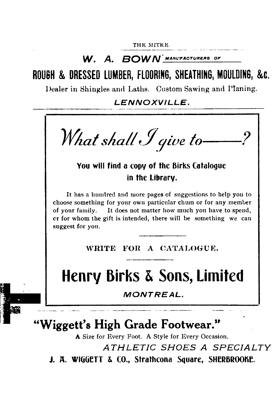### *W. A. BOWN<sup>'</sup> MANUFACTURERS OF*

### ROUGH & DRESSED LUMBER, FLOORING, SHEATHING, M0DLDING, &c.

**Dealer in Shingles and Laths. Custom Sawing and Planing.**

*L E N N O X V IL L E .*

 $\emph{What shall J give to-}$ **You will find a copy of the Birks Catalogue in the Library.** It has a hundred and more pages of suggestions to help you to choose something for your own particular chum or for any member of your family. It does not matter how much you have to spend, cr for whom the gift is intended, there will be something we can suggest for you. **WRITE FOR A CATALOGUE. Henry Birks & Sons, Limited** *M O N T R E A L .* "Wiggett's High Grade Footwear."

**A** Size for Every Foot. A Style for Every Occasion.

*ATHLETIC SHOES A SPECIALTY*

**J. A. WIGGETT & CO., Strathcona Square, SHERBROOKE.**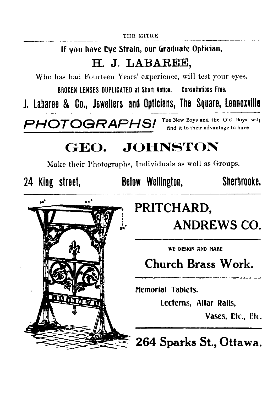### **If you have Eye Strain, our Graduate Optician,**

### H. J. LABAREE,

**Who has had Fourteen Years' experience, will test your eyes.**

BROKEN LENSES DUPLICATED at Short Notice. Consultations Free.

J. Labaree & Co., Jewellers and Opticians, The Square, Lennoxville

 $D$ *LIOTOCDADLI*CI<sup>The New Boys and the Old Boys wi</sup> **F I I U l l l l l l i t i find** it to their advantage to have

# **GEO. JOHNSTON**

**Make their Photographs, Individuals as well as Groups.**

24 King street, Below Wellington, Sherbrooke.



# PRITCHARD, ANDREWS CO.

WE DESIGN AND MAKE

Church Brass Work.

**Memorial Tablets.**

**Lecterns, Altar Rails,**

**Vases, Etc., Etc.**

264 Sparks St., Ottawa.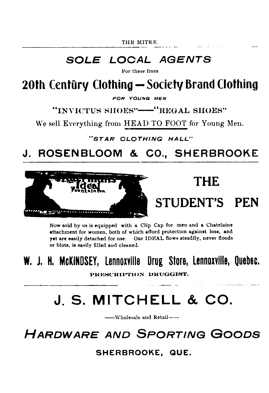### *SOLE LOCAL AGENTS*

For these lines

## **20th Century Clothing — Society Brand Clothing**

**FOR YOUNG MEN** 

"INVICTUS SHOES"<sup>-----</sup>"REGAL SHOES"

**We sell Everything from HEAD TO FOOT for Young Men.**

*" S T A R C L O T H IN G HA LL"*

**J. ROSENBLOOM & CO., SHERBROOKE**



# THE

# STUDENT'S PEN

Now sold by us is equipped with a Clip Cap for men and a Chatelaine attachment for women, both of which afford protection against loss, and yet are easily detached for use. Our IDEAL flows steadily, never floods or blots, is easily filled and cleaned.

### W. J. H. MCKINDSEY, Lennoxville Drug Store, Lennoxville, Quebec.

PRESCRIPTION DRUGGIST.

# **J. S. M I T C H E L L** *&.* **CO.**

-Wholesale and Retail--

*H a r d w a r e a n d S p o r t in g G o o d s*

### **SHERBROOKE, QUE.**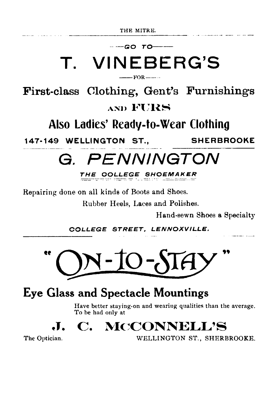### ------- G O *T O* ----------- **T. VINEBERG'S**  $-$  FOR  $-$

**First-class Clothing, Gent's Furnishing's** A N D **FURS**

## **Also Ladies' Ready-to-Wear Clothing**

**147-149 WELLINGTON ST., SHERBROOKE**

# G *P E N N IN G T O N*

*T H E* C o *L L E G E S H O E M A K E R*

**Repairing done on all kinds of Boots and Shoes.**

**Rubber Heels, Laces and Polishes.**

**Hand-sewn Shoes a Specialty**

COLLEGE STREET, LENNOXVILLE.



# Eye Glass and Spectacle Mountings

Have better staying-on and wearing qualities than the average. To be had only at

# J. C. MCCONNELL'S

The Optician.

WELLINGTON ST., SHERBROOKE.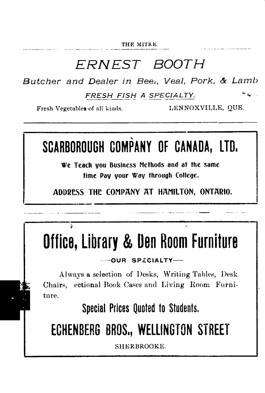# *E R N E S T BO O TH*

*Butcher and Dealer in Beer, Veal, Pork, & Lamb*

 $F$ *RESH FISH A SPECIALTY.* 

Fresh Vegetables of all kinds. LENNOXVILLE, QUE.

- 20

# SCARBOROUGH COMPANY OF CANADA, LTD.

**We Teach you Business Methods and at the same time Pay your Way through College.**

**ADDRESS THE COMPANY AT HAMILTON, ONTARIO.**

# Office, Library & Den Room Furniture

 $--$ OUR SPECIALTY-

**Always a selection of Desks, Writing Tables, Desk Chairs, ectional Rook Cases and Living Room Furniture.**

Special Prices Quoted to Students.

# ECHENBERG BROS., WELLINGTON STREET

SHERBROOKE.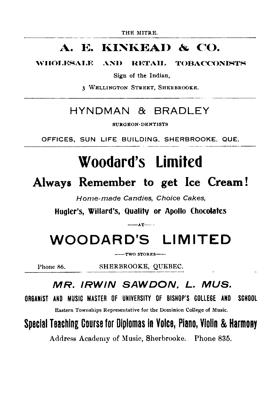### **A. E. KINKEAD & CO.**

WHOLESALE AND RETAIL TOBACCONISTS

Sign of the Indian,

3 W ELLINGTON STREET, SHERBROOKE.

### HYNDMAN & BRADLEY

SURGEON-DENTISTS

**OFFICES, SUN LIFE BUILDING. SHERBROOKE. QUE.**

# **Woodard's Limited**

### Always Remember to get Ice Cream!

*Home-made Candies, Choice Cakes,* 

**Hugler's, Willard's, Quality or Apollo Chocolates**

---------A T --------

# **W O O D A R D 'S L IM IT E D**

 $-$  TWO STORES----

Phone 86. SHERBROOKE, QUEBEC.

### *MR. IRWIN SAWDON. L. MUS.*

ORGANiST AND MUSIC MASTER OF UNIVERSITY OF BISHOP'S C0LLEGE AND SCHOOL Eastern Townships Representative for the Dominion College of Music.

Special Teaching Course for Diplomas In Voice, Piano, Violin & Harmony

**Address Academy of Music, Sherbrooke. Phone 835.**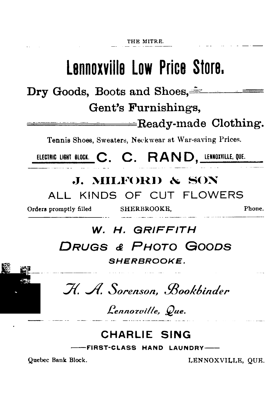# Lennoxville Low Price Store.

**Dry Goods, Boots and Shoes,**

### **Gent's Furnishing's,**

**- tt—- = R e a d y -made Clothing.**

**Tennis Shoes, Sweaters, Neckwear at War-saving Prices.**

**ELECTRIC LIGHT BLOCK.** C. C. RAND, LENNOXVILLE, QUE.

### **•J. MILFORD & SON**

ALL KINDS OF CUT FLOWERS

Orders promptly filled SHERBROOKE, Phone.

## *W. H. G R IFFITH D r u g s & P h o t o G o o d s S H E R B R O O K E .*

*H. A Sorenson, Bookbinder er*

*L e n n o x v ille , Q ue.*

### **CHARLIE SIN G**

**FIRST-CLASS HAND LAUNDRY**

Quebec Bank Block. LENNOXVILLE, QUE.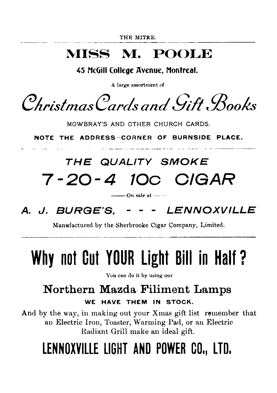## **MISS M. POOLE**

#### **45 McGill College Avenue, Montreal.**

A large assortment of



MOWBRAY'S AND OTHER CHURCH CARDS.

**NOTE THE A D DRESS-CO RNER OF BURNSIDE PLACE.**

# *TH E QUALITY SM O K E* 7-20-4 10c CIGAR

 $\overline{\phantom{a}}$ On sale at  $-\cdots$ 

### *A. J. BURGE'S.* - - - *LENNOXVILLE*

Manufactured by the Sherbrooke Cigar Company, Limited.

# Why not Gut YOUR Light Bill in Half?

You can do it by using our

# **Northern Mazda Filiment Lamps**

**WE HAVE THEM IN STOCK.**

**And by the way, in making out your Xmas gift list remember that an Electric Iron, Toaster, Warming Pad, or an Electric Radiant Grill make an ideal gift.**

# LENNOXVILLE LIGHT AND POWER GO., LTD.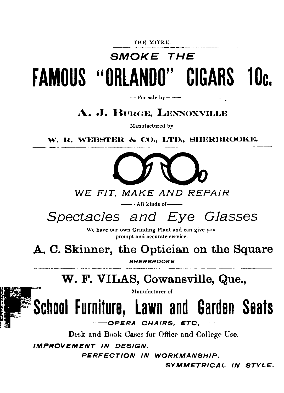# **SMOKE THE FAMOUS "ORLANDO" CIGARS 10c.**

 $--$  For sale by  $--$ 

### **A. J. BURGE, LENNOXVILLE**

Manufactured by

W. R. WEBSTER & CO., LTD., SHERBROOKE.



### WE FIT, MAKE AND REPAIR

 $-$  - All kinds of  $-$ 

# *Spectacles and Eye Glasses*

We have our own Grinding Plant and can give you prompt and accurate service.

# **A. C. Skinner, the Optician on the Square**

*S H E R B R O O K E*

## **W. F. VILAS, Cowansville, Que.,**

Manufacturer of

School Furniture, Lawn and Garden Seats

-O P ERA CHAIRS. ET C.-

**Desk and Book Cases for Office and College Use.**

**IM PROVEMENT IN DESIGN.** 

**PERFECTION IN WORKMANSHIP.** 

SYMMETRICAL IN STYLE.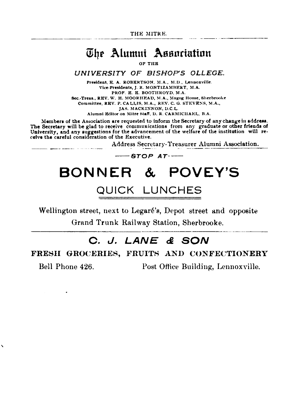### The Alumni Association

 $OF$  THE

#### *UNIVERSITY OF BISHOP'S OLLEGE.*

President, E. A. ROBERTSON, M.A., M.D., Lennoxville. Vice-Presidents, J. R. MONTIZAMBERT, M.A. PROF. E. E. BOOTHROYD, M.A. Sec.-Treas., REV. W. H. MOORHEAD, M.A., Magog House, Sherbrooke Committee, REV. P. CA LLIS, M.A., REV. C. G. STEVENS, M.A., JAS. MACKINNON, D.C.L. Alumni Editor on Mitre Staff, D. R. CARMICHAEL, B.A.

Members of the Association are requested to inform the Secretary of any change in address. The Secretary will be glad to receive communications from any graduate or other friends of University, and any suggestions for the advancement of the welfare of the institution will re ceive the careful consideration of the Executive.

Address Secretary-Treasurer Alumni Association.

#### $-$ *STOP AT* $-$

## **B O N N E R & P O V E Y 'S**

### QUICK LUNCHES

**Wellington street, next to Legare's, Depot street and opposite Grand Trunk Railway Station, Sherbrooke.**

### C . *J. LANE & SON*

**FRESH GROCERIES, FRUITS AND CONFECTIONERY**

**Bell Phone 426. Post Office Building, Lennoxville.**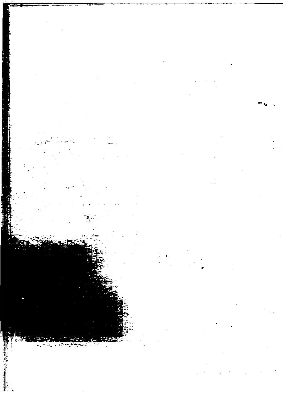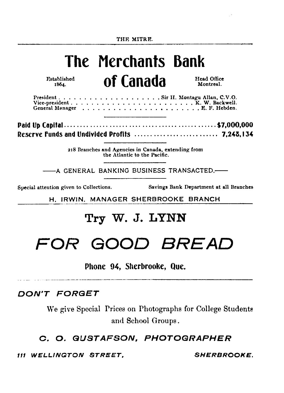$\mathbb{R}^n$ 

|                                         | The Merchants Bank                                                                  |                                                            |
|-----------------------------------------|-------------------------------------------------------------------------------------|------------------------------------------------------------|
| Established<br>1864.                    | of Canada                                                                           | Head Office<br>Montreal.                                   |
|                                         |                                                                                     |                                                            |
|                                         |                                                                                     |                                                            |
|                                         | 218 Branches and Agencies in Canada, extending from<br>the Atlantic to the Pacific. |                                                            |
|                                         | —A GENERAL BANKING BUSINESS TRANSACTED.——                                           |                                                            |
| Special attention given to Collections. |                                                                                     | Savings Bank Department at all Branches                    |
|                                         | H. IRWIN. MANAGER SHERBROOKE BRANCH                                                 |                                                            |
|                                         | Try W. J. LYNN<br>FOR GOOD BREAD<br>Phone 94, Sherbrooke, Que.                      |                                                            |
| DON'T FORGET                            |                                                                                     |                                                            |
|                                         | and School Groups.                                                                  | We give Special Prices on Photographs for College Students |
|                                         | C. O. GUSTAFSON, PHOTOGRAPHER                                                       |                                                            |
| 111 WELLINGTON STREET,                  |                                                                                     | <i>SHERBROOKE.</i>                                         |